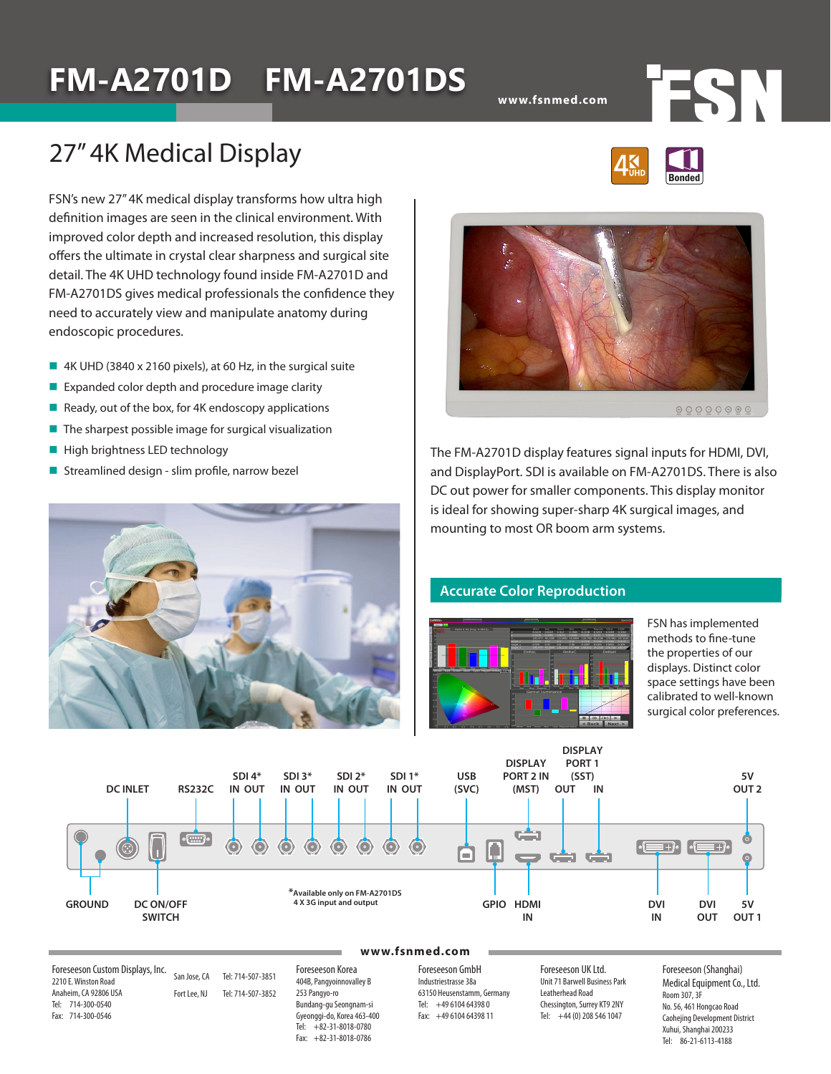# **FM-A2701D FM-A2701DS**

**www.fsnmed.com**

## 27" 4K Medical Display

FSN's new 27" 4K medical display transforms how ultra high definition images are seen in the clinical environment. With improved color depth and increased resolution, this display offers the ultimate in crystal clear sharpness and surgical site detail. The 4K UHD technology found inside FM-A2701D and FM-A2701DS gives medical professionals the confidence they need to accurately view and manipulate anatomy during endoscopic procedures.

- 4K UHD (3840 x 2160 pixels), at 60 Hz, in the surgical suite
- $\blacksquare$  Expanded color depth and procedure image clarity
- Ready, out of the box, for 4K endoscopy applications
- $\blacksquare$  The sharpest possible image for surgical visualization
- $\blacksquare$  High brightness LED technology
- Streamlined design slim profile, narrow bezel





The FM-A2701D display features signal inputs for HDMI, DVI, and DisplayPort. SDI is available on FM-A2701DS. There is also DC out power for smaller components. This display monitor is ideal for showing super-sharp 4K surgical images, and mounting to most OR boom arm systems.

### **Accurate Color Reproduction**



FSN has implemented methods to fine-tune the properties of our displays. Distinct color space settings have been calibrated to well-known surgical color preferences.



#### **www.fsnmed.com**

Foreseeson Custom Displays, Inc. 2210 E. Winston Road Anaheim, CA 92806 USA Tel: 714-300-0540 Fax: 714-300-0546

San Jose, CA Tel: 714-507-3851 Fort Lee, NJ Tel: 714-507-3852

Foreseeson Korea 404B, Pangyoinnovalley B 253 Pangyo-ro Bundang-gu Seongnam-si Gyeonggi-do, Korea 463-400 Tel: +82-31-8018-0780 Fax: +82-31-8018-0786

Foreseeson GmbH Industriestrasse 38a 63150 Heusenstamm, Germany Tel: +49 6104 64398 0 Fax: +49 6104 64398 11

Foreseeson UK Ltd. Unit 71 Barwell Business Park Leatherhead Road Chessington, Surrey KT9 2NY Tel: +44 (0) 208 546 1047

Foreseeson (Shanghai) Medical Equipment Co., Ltd. Room 307, 3F No. 56, 461 Hongcao Road Caohejing Development District Xuhui, Shanghai 200233 Tel: 86-21-6113-4188



TSN.